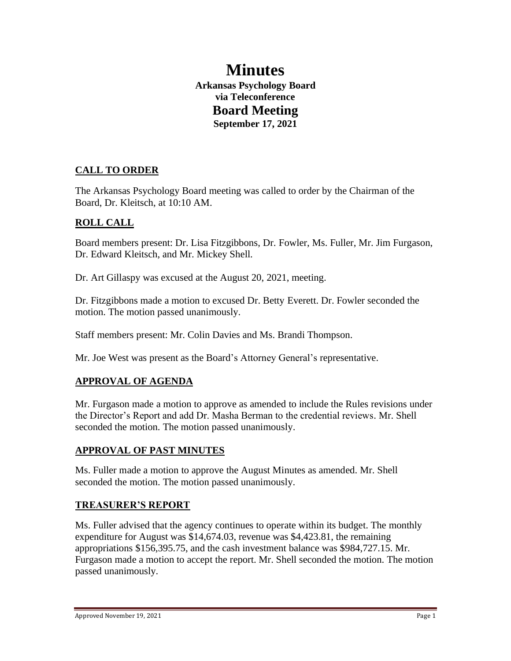# **Minutes Arkansas Psychology Board via Teleconference Board Meeting September 17, 2021**

# **CALL TO ORDER**

The Arkansas Psychology Board meeting was called to order by the Chairman of the Board, Dr. Kleitsch, at 10:10 AM.

# **ROLL CALL**

Board members present: Dr. Lisa Fitzgibbons, Dr. Fowler, Ms. Fuller, Mr. Jim Furgason, Dr. Edward Kleitsch, and Mr. Mickey Shell.

Dr. Art Gillaspy was excused at the August 20, 2021, meeting.

Dr. Fitzgibbons made a motion to excused Dr. Betty Everett. Dr. Fowler seconded the motion. The motion passed unanimously.

Staff members present: Mr. Colin Davies and Ms. Brandi Thompson.

Mr. Joe West was present as the Board's Attorney General's representative.

# **APPROVAL OF AGENDA**

Mr. Furgason made a motion to approve as amended to include the Rules revisions under the Director's Report and add Dr. Masha Berman to the credential reviews. Mr. Shell seconded the motion. The motion passed unanimously.

#### **APPROVAL OF PAST MINUTES**

Ms. Fuller made a motion to approve the August Minutes as amended. Mr. Shell seconded the motion. The motion passed unanimously.

#### **TREASURER'S REPORT**

Ms. Fuller advised that the agency continues to operate within its budget. The monthly expenditure for August was \$14,674.03, revenue was \$4,423.81, the remaining appropriations \$156,395.75, and the cash investment balance was \$984,727.15. Mr. Furgason made a motion to accept the report. Mr. Shell seconded the motion. The motion passed unanimously.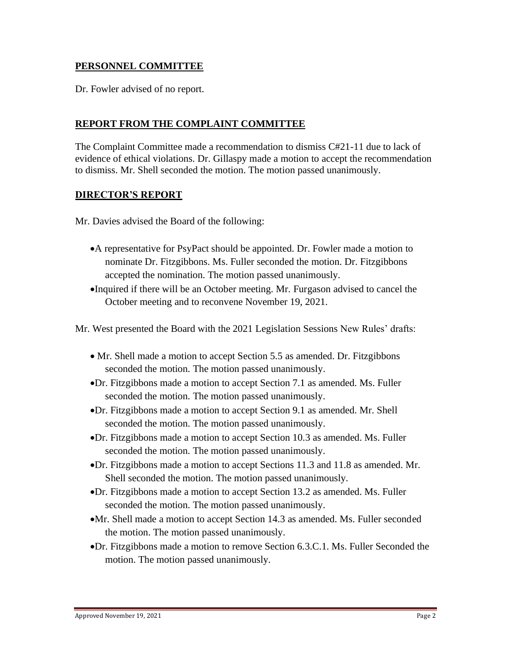## **PERSONNEL COMMITTEE**

Dr. Fowler advised of no report.

## **REPORT FROM THE COMPLAINT COMMITTEE**

The Complaint Committee made a recommendation to dismiss C#21-11 due to lack of evidence of ethical violations. Dr. Gillaspy made a motion to accept the recommendation to dismiss. Mr. Shell seconded the motion. The motion passed unanimously.

#### **DIRECTOR'S REPORT**

Mr. Davies advised the Board of the following:

- •A representative for PsyPact should be appointed. Dr. Fowler made a motion to nominate Dr. Fitzgibbons. Ms. Fuller seconded the motion. Dr. Fitzgibbons accepted the nomination. The motion passed unanimously.
- •Inquired if there will be an October meeting. Mr. Furgason advised to cancel the October meeting and to reconvene November 19, 2021.

Mr. West presented the Board with the 2021 Legislation Sessions New Rules' drafts:

- Mr. Shell made a motion to accept Section 5.5 as amended. Dr. Fitzgibbons seconded the motion. The motion passed unanimously.
- •Dr. Fitzgibbons made a motion to accept Section 7.1 as amended. Ms. Fuller seconded the motion. The motion passed unanimously.
- •Dr. Fitzgibbons made a motion to accept Section 9.1 as amended. Mr. Shell seconded the motion. The motion passed unanimously.
- •Dr. Fitzgibbons made a motion to accept Section 10.3 as amended. Ms. Fuller seconded the motion. The motion passed unanimously.
- •Dr. Fitzgibbons made a motion to accept Sections 11.3 and 11.8 as amended. Mr. Shell seconded the motion. The motion passed unanimously.
- •Dr. Fitzgibbons made a motion to accept Section 13.2 as amended. Ms. Fuller seconded the motion. The motion passed unanimously.
- •Mr. Shell made a motion to accept Section 14.3 as amended. Ms. Fuller seconded the motion. The motion passed unanimously.
- •Dr. Fitzgibbons made a motion to remove Section 6.3.C.1. Ms. Fuller Seconded the motion. The motion passed unanimously.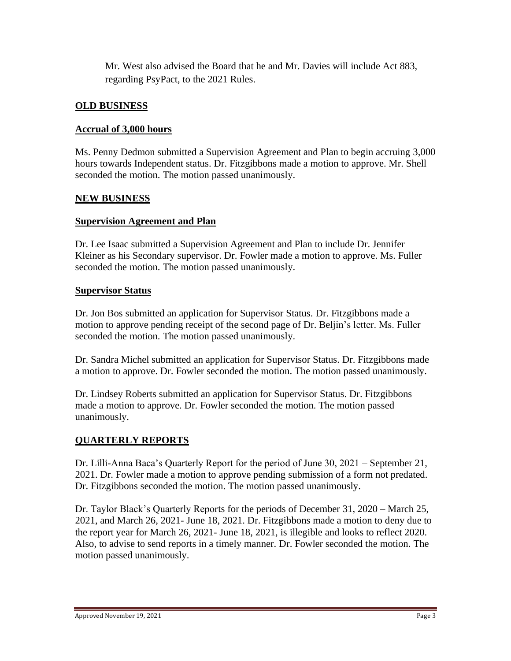Mr. West also advised the Board that he and Mr. Davies will include Act 883, regarding PsyPact, to the 2021 Rules.

# **OLD BUSINESS**

#### **Accrual of 3,000 hours**

Ms. Penny Dedmon submitted a Supervision Agreement and Plan to begin accruing 3,000 hours towards Independent status. Dr. Fitzgibbons made a motion to approve. Mr. Shell seconded the motion. The motion passed unanimously.

#### **NEW BUSINESS**

#### **Supervision Agreement and Plan**

Dr. Lee Isaac submitted a Supervision Agreement and Plan to include Dr. Jennifer Kleiner as his Secondary supervisor. Dr. Fowler made a motion to approve. Ms. Fuller seconded the motion. The motion passed unanimously.

#### **Supervisor Status**

Dr. Jon Bos submitted an application for Supervisor Status. Dr. Fitzgibbons made a motion to approve pending receipt of the second page of Dr. Beljin's letter. Ms. Fuller seconded the motion. The motion passed unanimously.

Dr. Sandra Michel submitted an application for Supervisor Status. Dr. Fitzgibbons made a motion to approve. Dr. Fowler seconded the motion. The motion passed unanimously.

Dr. Lindsey Roberts submitted an application for Supervisor Status. Dr. Fitzgibbons made a motion to approve. Dr. Fowler seconded the motion. The motion passed unanimously.

# **QUARTERLY REPORTS**

Dr. Lilli-Anna Baca's Quarterly Report for the period of June 30, 2021 – September 21, 2021. Dr. Fowler made a motion to approve pending submission of a form not predated. Dr. Fitzgibbons seconded the motion. The motion passed unanimously.

Dr. Taylor Black's Quarterly Reports for the periods of December 31, 2020 – March 25, 2021, and March 26, 2021- June 18, 2021. Dr. Fitzgibbons made a motion to deny due to the report year for March 26, 2021- June 18, 2021, is illegible and looks to reflect 2020. Also, to advise to send reports in a timely manner. Dr. Fowler seconded the motion. The motion passed unanimously.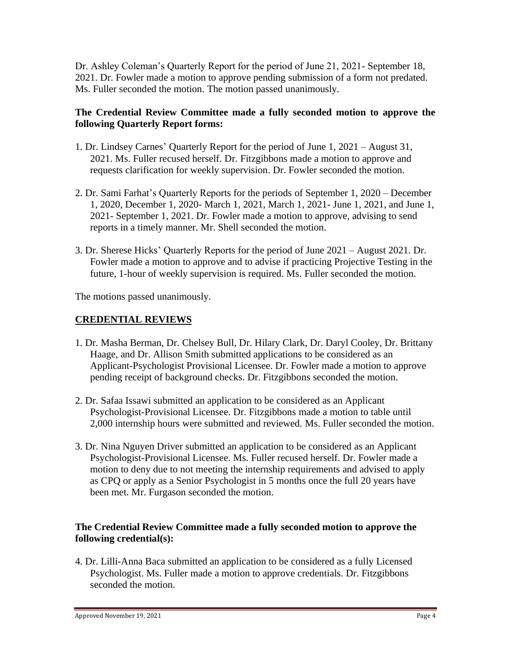Dr. Ashley Coleman's Quarterly Report for the period of June 21, 2021- September 18, 2021. Dr. Fowler made a motion to approve pending submission of a form not predated. Ms. Fuller seconded the motion. The motion passed unanimously.

#### **The Credential Review Committee made a fully seconded motion to approve the following Quarterly Report forms:**

- 1. Dr. Lindsey Carnes' Quarterly Report for the period of June 1, 2021 August 31, 2021. Ms. Fuller recused herself. Dr. Fitzgibbons made a motion to approve and requests clarification for weekly supervision. Dr. Fowler seconded the motion.
- 2. Dr. Sami Farhat's Quarterly Reports for the periods of September 1, 2020 December 1, 2020, December 1, 2020- March 1, 2021, March 1, 2021- June 1, 2021, and June 1, 2021- September 1, 2021. Dr. Fowler made a motion to approve, advising to send reports in a timely manner. Mr. Shell seconded the motion.
- 3. Dr. Sherese Hicks' Quarterly Reports for the period of June 2021 August 2021. Dr. Fowler made a motion to approve and to advise if practicing Projective Testing in the future, 1-hour of weekly supervision is required. Ms. Fuller seconded the motion.

The motions passed unanimously.

## **CREDENTIAL REVIEWS**

- 1. Dr. Masha Berman, Dr. Chelsey Bull, Dr. Hilary Clark, Dr. Daryl Cooley, Dr. Brittany Haage, and Dr. Allison Smith submitted applications to be considered as an Applicant-Psychologist Provisional Licensee. Dr. Fowler made a motion to approve pending receipt of background checks. Dr. Fitzgibbons seconded the motion.
- 2. Dr. Safaa Issawi submitted an application to be considered as an Applicant Psychologist-Provisional Licensee. Dr. Fitzgibbons made a motion to table until 2,000 internship hours were submitted and reviewed. Ms. Fuller seconded the motion.
- 3. Dr. Nina Nguyen Driver submitted an application to be considered as an Applicant Psychologist-Provisional Licensee. Ms. Fuller recused herself. Dr. Fowler made a motion to deny due to not meeting the internship requirements and advised to apply as CPQ or apply as a Senior Psychologist in 5 months once the full 20 years have been met. Mr. Furgason seconded the motion.

#### **The Credential Review Committee made a fully seconded motion to approve the following credential(s):**

4. Dr. Lilli-Anna Baca submitted an application to be considered as a fully Licensed Psychologist. Ms. Fuller made a motion to approve credentials. Dr. Fitzgibbons seconded the motion.